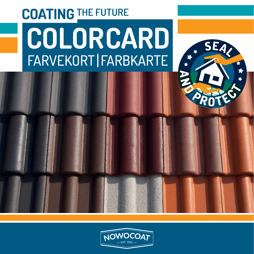## **COATING THE FUTURE COLOR CARD** FARVEKORT | FARBKARTE



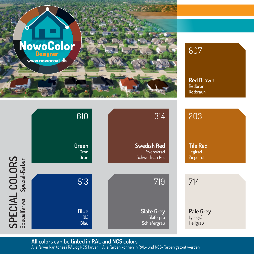

## 8O7

**Red Brown**  Rødbrun Rotbraun



**All colors can be tinted in RAL and NCS colors**

Alle farver kan tones i RAL og NCS farver | Alle Farben können in RAL- und NCS-Farben getönt werden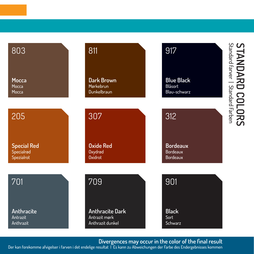| 803                | 811                    | 917               | <b>STANDARD COLORS</b><br>Standard Farver   Standard Farben |
|--------------------|------------------------|-------------------|-------------------------------------------------------------|
| <b>Mocca</b>       | <b>Dark Brown</b>      | <b>Blue Black</b> |                                                             |
| Mocca              | Mørkebrun              | <b>Blåsort</b>    |                                                             |
| Mocca              | Dunkelbraun            | Blau-schwarz      |                                                             |
| 205                | 307                    | 312               |                                                             |
| <b>Special Red</b> | <b>Oxide Red</b>       | <b>Bordeaux</b>   |                                                             |
| Specialrød         | Oxydrød                | <b>Bordeaux</b>   |                                                             |
| Spezialrot         | <b>Oxidrot</b>         | <b>Bordeaux</b>   |                                                             |
| 701                | 709                    | 901               |                                                             |
| Anthracite         | <b>Anthracite Dark</b> | <b>Black</b>      |                                                             |
| Antrazit           | Antrazit mørk          | Sort              |                                                             |
| Anthrazit          | Anthrazit dunkel       | Schwarz           |                                                             |

**Divergences may occur in the color of the final result**

Der kan forekomme afvigelser i farven i det endelige resultat | Es kann zu Abweichungen der Farbe des Endergebnisses kommen